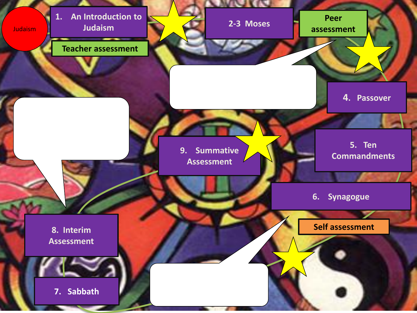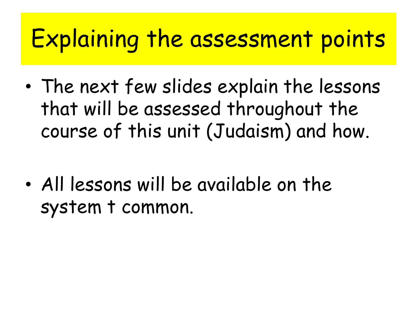## Explaining the assessment points

- The next few slides explain the lessons that will be assessed throughout the course of this unit (Judaism) and how.
- All lessons will be available on the system t common.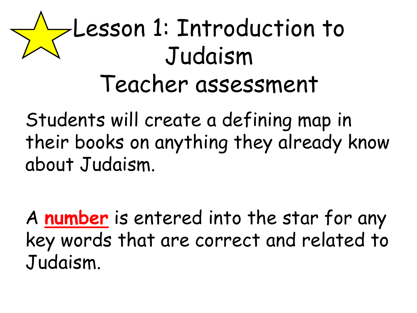## Lesson 1: Introduction to Judaism Teacher assessment

Students will create a defining map in their books on anything they already know about Judaism.

A **number** is entered into the star for any key words that are correct and related to Judaism.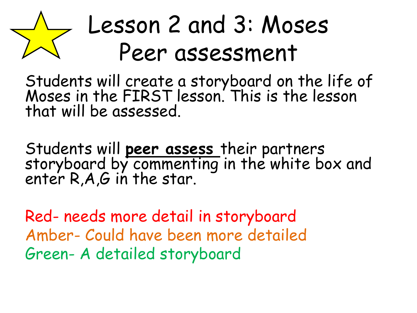## Lesson 2 and 3: Moses Peer assessment

Students will create a storyboard on the life of Moses in the FIRST lesson. This is the lesson that will be assessed.

Students will **peer assess** their partners storyboard by commenting in the white box and enter R,A,G in the star.

Red- needs more detail in storyboard Amber- Could have been more detailed Green- A detailed storyboard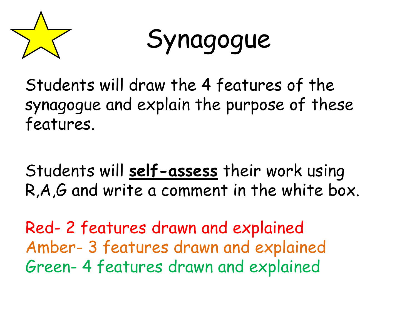

Synagogue

Students will draw the 4 features of the synagogue and explain the purpose of these features.

Students will **self-assess** their work using R,A,G and write a comment in the white box.

Red- 2 features drawn and explained Amber- 3 features drawn and explained Green- 4 features drawn and explained